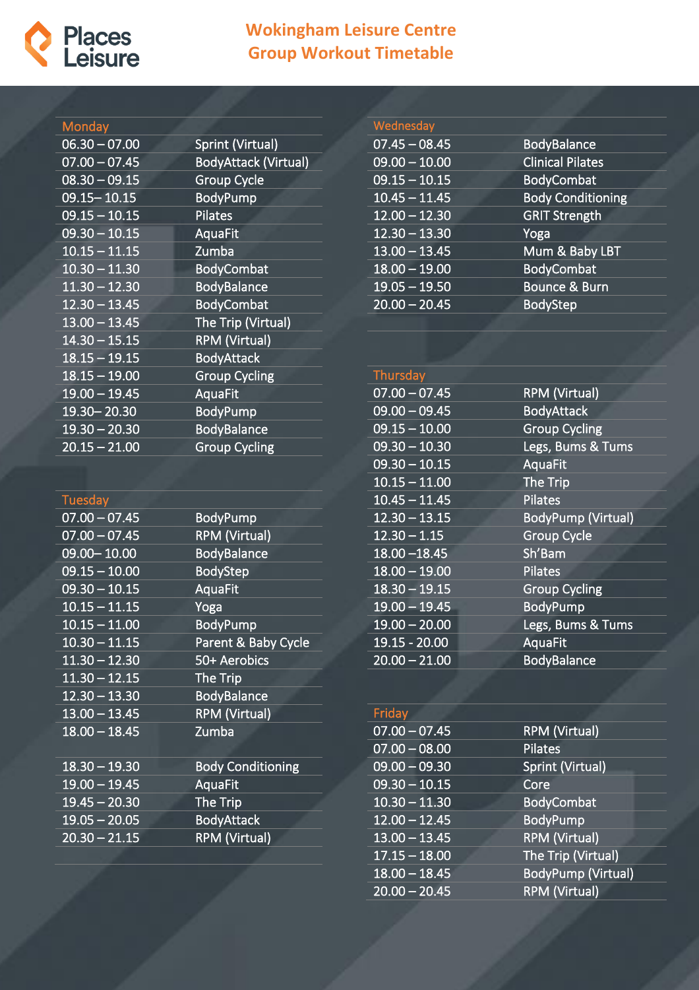

### **Wokingham Leisure Centre Group Workout Timetable**

#### **Monday**

| $06.30 - 07.00$ | Sprint (Virtual)            |
|-----------------|-----------------------------|
| $07.00 - 07.45$ | <b>BodyAttack (Virtual)</b> |
| $08.30 - 09.15$ | <b>Group Cycle</b>          |
| 09.15 - 10.15   | <b>BodyPump</b>             |
| $09.15 - 10.15$ | Pilates                     |
| $09.30 - 10.15$ | AquaFit                     |
| $10.15 - 11.15$ | Zumba                       |
| $10.30 - 11.30$ | <b>BodyCombat</b>           |
| $11.30 - 12.30$ | <b>BodyBalance</b>          |
| $12.30 - 13.45$ | <b>BodyCombat</b>           |
| $13.00 - 13.45$ | The Trip (Virtual)          |
| $14.30 - 15.15$ | <b>RPM (Virtual)</b>        |
| $18.15 - 19.15$ | <b>BodyAttack</b>           |
| $18.15 - 19.00$ | <b>Group Cycling</b>        |
| $19.00 - 19.45$ | AquaFit                     |
| 19.30 - 20.30   | <b>BodyPump</b>             |
| $19.30 - 20.30$ | <b>BodyBalance</b>          |
| $20.15 - 21.00$ | <b>Group Cycling</b>        |

#### **Wednesday** 07.45 – 08.45 BodyBalance 09.00 – 10.00 Clinical Pilates 09.15 – 10.15 BodyCombat<br>10.45 – 11.45 Body Condition **Body Conditioning** 12.00 – 12.30 GRIT Strength 12.30 – 13.30 Yoga 13.00 – 13.45 Mum & Baby LBT 18.00 – 19.00 BodyCombat 19.05 – 19.50 Bounce & Burn<br>20.00 – 20.45 BodyStep  $20.00 - 20.45$

| Thursday        |                           |
|-----------------|---------------------------|
| $07.00 - 07.45$ | <b>RPM (Virtual)</b>      |
| $09.00 - 09.45$ | <b>BodyAttack</b>         |
| $09.15 - 10.00$ | <b>Group Cycling</b>      |
| $09.30 - 10.30$ | Legs, Bums & Tums         |
| $09.30 - 10.15$ | AquaFit                   |
| $10.15 - 11.00$ | The Trip                  |
| $10.45 - 11.45$ | <b>Pilates</b>            |
| $12.30 - 13.15$ | <b>BodyPump (Virtual)</b> |
| $12.30 - 1.15$  | <b>Group Cycle</b>        |
| $18.00 - 18.45$ | Sh'Bam                    |
| $18.00 - 19.00$ | <b>Pilates</b>            |
| $18.30 - 19.15$ | <b>Group Cycling</b>      |
| $19.00 - 19.45$ | <b>BodyPump</b>           |
| $19.00 - 20.00$ | Legs, Bums & Tums         |
| 19.15 - 20.00   | AquaFit                   |
| $20.00 - 21.00$ | <b>BodyBalance</b>        |

| Friday          |                           |
|-----------------|---------------------------|
| $07.00 - 07.45$ | <b>RPM (Virtual)</b>      |
| $07.00 - 08.00$ | <b>Pilates</b>            |
| $09.00 - 09.30$ | Sprint (Virtual)          |
| $09.30 - 10.15$ | Core                      |
| $10.30 - 11.30$ | <b>BodyCombat</b>         |
| $12.00 - 12.45$ | <b>BodyPump</b>           |
| $13.00 - 13.45$ | <b>RPM (Virtual)</b>      |
| $17.15 - 18.00$ | The Trip (Virtual)        |
| $18.00 - 18.45$ | <b>BodyPump (Virtual)</b> |
| $20.00 - 20.45$ | <b>RPM (Virtual)</b>      |

# Tuesday

| 07.00 – 07.45              | <u>Bo</u> dyPump         |
|----------------------------|--------------------------|
| $07.00 - 07.45$            | <b>RPM (Virtual)</b>     |
| 09.00 - 10.00              | <b>BodyBalance</b>       |
| $\overline{09.15 - 10.00}$ | <b>BodyStep</b>          |
| $09.30 - 10.15$            | AquaFit                  |
| $10.15 - 11.15$            | Yoga                     |
| $10.15 - 11.00$            | <b>BodyPump</b>          |
| $10.30 - 11.15$            | Parent & Baby Cycle      |
| $11.30 - 12.30$            | 50+ Aerobics             |
| $11.30 - 12.15$            | The Trip                 |
| $12.30 - 13.30$            | <b>BodyBalance</b>       |
| $13.00 - 13.45$            | <b>RPM (Virtual)</b>     |
| $18.00 - 18.45$            | Zumba                    |
|                            |                          |
| $18.30 - 19.30$            | <b>Body Conditioning</b> |
| $19.00 - 19.45$            | <b>AquaFit</b>           |
| $19.45 - 20.30$            | The Trip                 |
| $19.05 - 20.05$            | <b>BodyAttack</b>        |
| $20.30 - 21.15$            | <b>RPM (Virtual)</b>     |
|                            |                          |